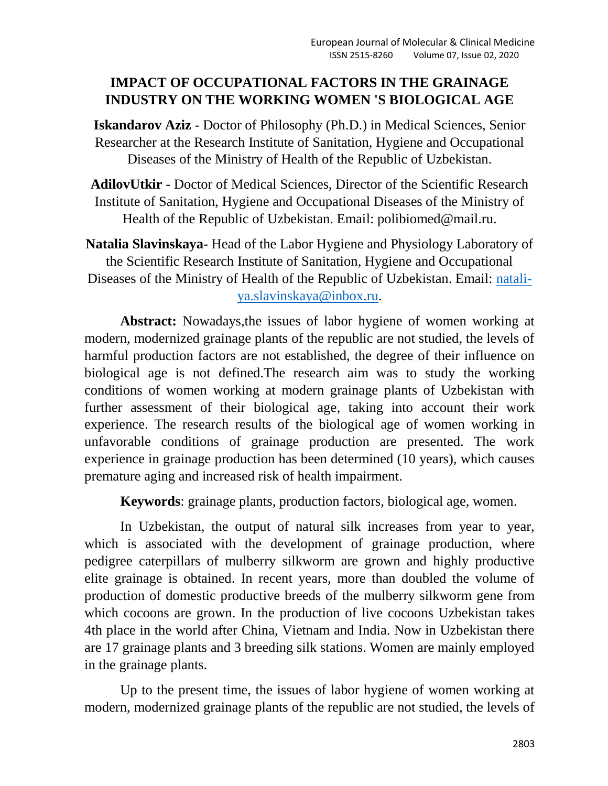# **IMPACT OF OCCUPATIONAL FACTORS IN THE GRAINAGE INDUSTRY ON THE WORKING WOMEN 'S BIOLOGICAL AGE**

**Iskandarov Aziz** - Doctor of Philosophy (Ph.D.) in Medical Sciences, Senior Researcher at the Research Institute of Sanitation, Hygiene and Occupational Diseases of the Ministry of Health of the Republic of Uzbekistan.

**AdilovUtkir** - Doctor of Medical Sciences, Director of the Scientific Research Institute of Sanitation, Hygiene and Occupational Diseases of the Ministry of Health of the Republic of Uzbekistan. Email: polibiomed@mail.ru.

**Natalia Slavinskaya**- Head of the Labor Hygiene and Physiology Laboratory of the Scientific Research Institute of Sanitation, Hygiene and Occupational Diseases of the Ministry of Health of the Republic of Uzbekistan. Email: [natali](mailto:natali-ya.slavinskaya@inbox.ru)[ya.slavinskaya@inbox.ru.](mailto:natali-ya.slavinskaya@inbox.ru)

**Abstract:** Nowadays,the issues of labor hygiene of women working at modern, modernized grainage plants of the republic are not studied, the levels of harmful production factors are not established, the degree of their influence on biological age is not defined.The research aim was to study the working conditions of women working at modern grainage plants of Uzbekistan with further assessment of their biological age, taking into account their work experience. The research results of the biological age of women working in unfavorable conditions of grainage production are presented. The work experience in grainage production has been determined (10 years), which causes premature aging and increased risk of health impairment.

**Keywords**: grainage plants, production factors, biological age, women.

In Uzbekistan, the output of natural silk increases from year to year, which is associated with the development of grainage production, where pedigree caterpillars of mulberry silkworm are grown and highly productive elite grainage is obtained. In recent years, more than doubled the volume of production of domestic productive breeds of the mulberry silkworm gene from which cocoons are grown. In the production of live cocoons Uzbekistan takes 4th place in the world after China, Vietnam and India. Now in Uzbekistan there are 17 grainage plants and 3 breeding silk stations. Women are mainly employed in the grainage plants.

Up to the present time, the issues of labor hygiene of women working at modern, modernized grainage plants of the republic are not studied, the levels of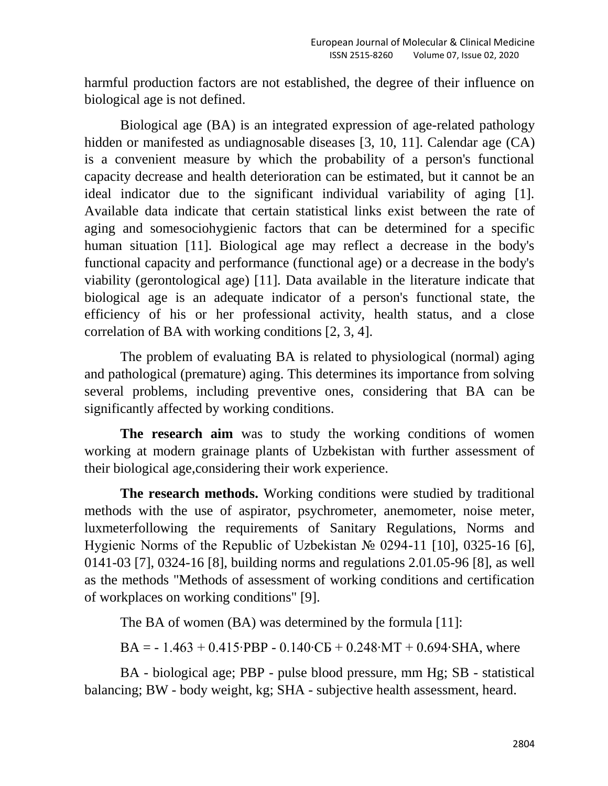harmful production factors are not established, the degree of their influence on biological age is not defined.

Biological age (BA) is an integrated expression of age-related pathology hidden or manifested as undiagnosable diseases [3, 10, 11]. Calendar age (CA) is a convenient measure by which the probability of a person's functional capacity decrease and health deterioration can be estimated, but it cannot be an ideal indicator due to the significant individual variability of aging [1]. Available data indicate that certain statistical links exist between the rate of aging and somesociohygienic factors that can be determined for a specific human situation [11]. Biological age may reflect a decrease in the body's functional capacity and performance (functional age) or a decrease in the body's viability (gerontological age) [11]. Data available in the literature indicate that biological age is an adequate indicator of a person's functional state, the efficiency of his or her professional activity, health status, and a close correlation of BA with working conditions [2, 3, 4].

The problem of evaluating BA is related to physiological (normal) aging and pathological (premature) aging. This determines its importance from solving several problems, including preventive ones, considering that BA can be significantly affected by working conditions.

The research aim was to study the working conditions of women working at modern grainage plants of Uzbekistan with further assessment of their biological age,considering their work experience.

**The research methods.** Working conditions were studied by traditional methods with the use of aspirator, psychrometer, anemometer, noise meter, luxmeterfollowing the requirements of Sanitary Regulations, Norms and Hygienic Norms of the Republic of Uzbekistan № 0294-11 [10], 0325-16 [6], 0141-03 [7], 0324-16 [8], building norms and regulations 2.01.05-96 [8], as well as the methods "Methods of assessment of working conditions and certification of workplaces on working conditions" [9].

The BA of women (BA) was determined by the formula [11]:

BA =  $-1.463 + 0.415$ ∘PBP  $- 0.140$ ⋅CB  $+ 0.248$ ⋅MT  $+ 0.694$ ⋅SHA, where

BA - biological age; PBP - pulse blood pressure, mm Hg; SB - statistical balancing; BW - body weight, kg; SHA - subjective health assessment, heard.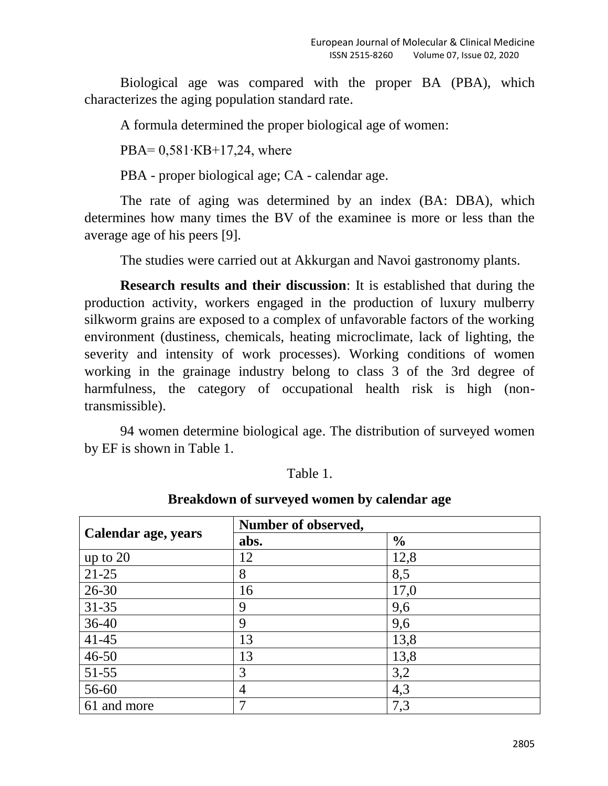Biological age was compared with the proper BA (PBA), which characterizes the aging population standard rate.

A formula determined the proper biological age of women:

PBA= 0,581∙КВ+17,24, where

PBA - proper biological age; CA - calendar age.

The rate of aging was determined by an index (BA: DBA), which determines how many times the BV of the examinee is more or less than the average age of his peers [9].

The studies were carried out at Akkurgan and Navoi gastronomy plants.

**Research results and their discussion**: It is established that during the production activity, workers engaged in the production of luxury mulberry silkworm grains are exposed to a complex of unfavorable factors of the working environment (dustiness, chemicals, heating microclimate, lack of lighting, the severity and intensity of work processes). Working conditions of women working in the grainage industry belong to class 3 of the 3rd degree of harmfulness, the category of occupational health risk is high (nontransmissible).

94 women determine biological age. The distribution of surveyed women by EF is shown in Table 1.

| `able |  |
|-------|--|
|       |  |

#### **Breakdown of surveyed women by calendar age**

|                     | Number of observed, |               |  |
|---------------------|---------------------|---------------|--|
| Calendar age, years | abs.                | $\frac{6}{6}$ |  |
| up to 20            | 12                  | 12,8          |  |
| $21-25$             | 8                   | 8,5           |  |
| $26 - 30$           | 16                  | 17,0          |  |
| $31 - 35$           | 9                   | 9,6           |  |
| $36-40$             | 9                   | 9,6           |  |
| $41 - 45$           | 13                  | 13,8          |  |
| $46 - 50$           | 13                  | 13,8          |  |
| $51 - 55$           | 3                   | 3,2           |  |
| 56-60               | $\overline{4}$      | 4,3           |  |
| 61 and more         | 7                   | 7,3           |  |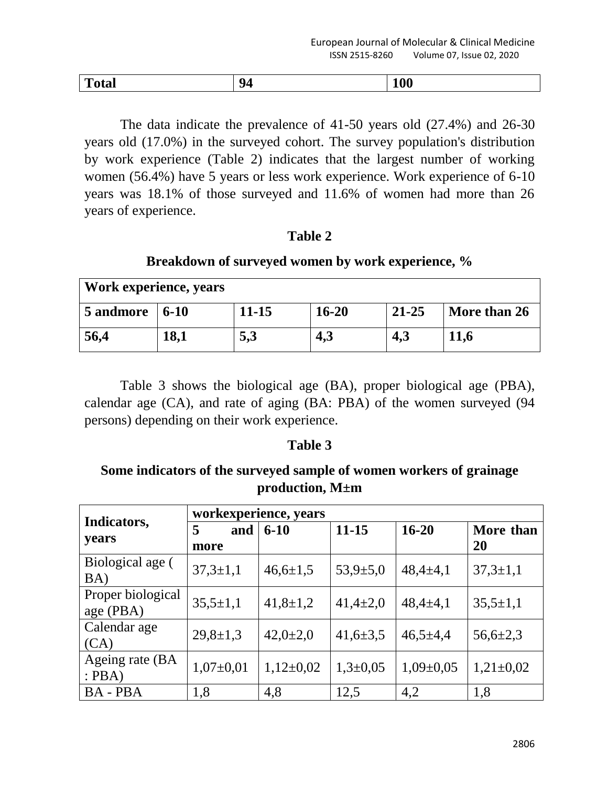| $\mathbf r$<br>1 otal<br>$\sim$ $\sim$ |
|----------------------------------------|
|----------------------------------------|

The data indicate the prevalence of 41-50 years old (27.4%) and 26-30 years old (17.0%) in the surveyed cohort. The survey population's distribution by work experience (Table 2) indicates that the largest number of working women (56.4%) have 5 years or less work experience. Work experience of 6-10 years was 18.1% of those surveyed and 11.6% of women had more than 26 years of experience.

## **Table 2**

## **Breakdown of surveyed women by work experience, %**

| Work experience, years                    |             |           |           |           |              |
|-------------------------------------------|-------------|-----------|-----------|-----------|--------------|
| $5$ andmore $\vert 6\textrm{-}10 \rangle$ |             | $11 - 15$ | $16 - 20$ | $21 - 25$ | More than 26 |
| 56,4                                      | <b>18,1</b> | 5,3       | 4,3       | 4,3       | <b>11,6</b>  |

Table 3 shows the biological age (BA), proper biological age (PBA), calendar age (CA), and rate of aging (BA: PBA) of the women surveyed (94 persons) depending on their work experience.

#### **Table 3**

# **Some indicators of the surveyed sample of women workers of grainage production, M±m**

|                                | workexperience, years |                |                |                 |                        |
|--------------------------------|-----------------------|----------------|----------------|-----------------|------------------------|
| Indicators,<br>years           | and<br>5<br>more      | $6 - 10$       | $11 - 15$      | $16 - 20$       | More than<br><b>20</b> |
| Biological age (<br>BA)        | $37,3 \pm 1,1$        | $46,6 \pm 1,5$ | $53,9{\pm}5,0$ | $48,4 \pm 4,1$  | $37,3 \pm 1,1$         |
| Proper biological<br>age (PBA) | $35,5 \pm 1,1$        | $41,8 \pm 1,2$ | $41,4\pm2,0$   | $48,4{\pm}4,1$  | $35,5 \pm 1,1$         |
| Calendar age<br>(CA)           | $29,8 \pm 1,3$        | $42,0{\pm}2,0$ | $41,6 \pm 3,5$ | $46,5 \pm 4,4$  | $56,6{\pm}2,3$         |
| Ageing rate (BA<br>PBA)        | $1,07\pm0,01$         | $1,12\pm0,02$  | $1,3+0,05$     | $1,09 \pm 0,05$ | $1,21\pm0,02$          |
| <b>BA-PBA</b>                  | 1,8                   | 4,8            | 12,5           | 4,2             | 1,8                    |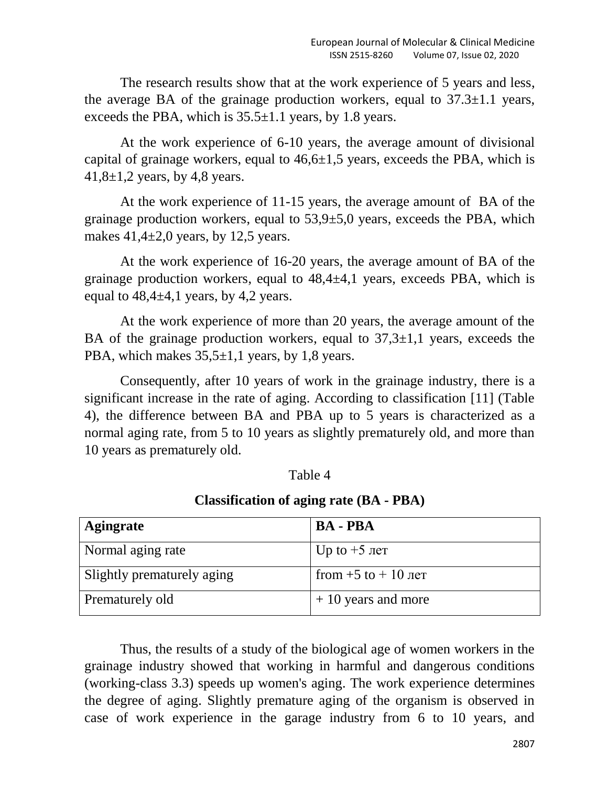The research results show that at the work experience of 5 years and less, the average BA of the grainage production workers, equal to  $37.3 \pm 1.1$  years, exceeds the PBA, which is  $35.5\pm1.1$  years, by 1.8 years.

At the work experience of 6-10 years, the average amount of divisional capital of grainage workers, equal to  $46,6\pm1,5$  years, exceeds the PBA, which is 41,8 $\pm$ 1,2 years, by 4,8 years.

At the work experience of 11-15 years, the average amount of BA of the grainage production workers, equal to  $53,9\pm5,0$  years, exceeds the PBA, which makes  $41,4\pm2,0$  years, by 12,5 years.

At the work experience of 16-20 years, the average amount of BA of the grainage production workers, equal to 48,4±4,1 years, exceeds PBA, which is equal to  $48,4\pm4,1$  years, by 4,2 years.

At the work experience of more than 20 years, the average amount of the BA of the grainage production workers, equal to  $37,3\pm1,1$  years, exceeds the PBA, which makes  $35,5\pm1,1$  years, by 1,8 years.

Consequently, after 10 years of work in the grainage industry, there is a significant increase in the rate of aging. According to classification [11] (Table 4), the difference between BA and PBA up to 5 years is characterized as a normal aging rate, from 5 to 10 years as slightly prematurely old, and more than 10 years as prematurely old.

#### Table 4

# **Classification of aging rate (BA - PBA)**

| Agingrate                  | <b>BA - PBA</b>        |
|----------------------------|------------------------|
| Normal aging rate          | Uр to $+5$ лет         |
| Slightly prematurely aging | from $+5$ to $+10$ ner |
| Prematurely old            | $+10$ years and more   |

Thus, the results of a study of the biological age of women workers in the grainage industry showed that working in harmful and dangerous conditions (working-class 3.3) speeds up women's aging. The work experience determines the degree of aging. Slightly premature aging of the organism is observed in case of work experience in the garage industry from 6 to 10 years, and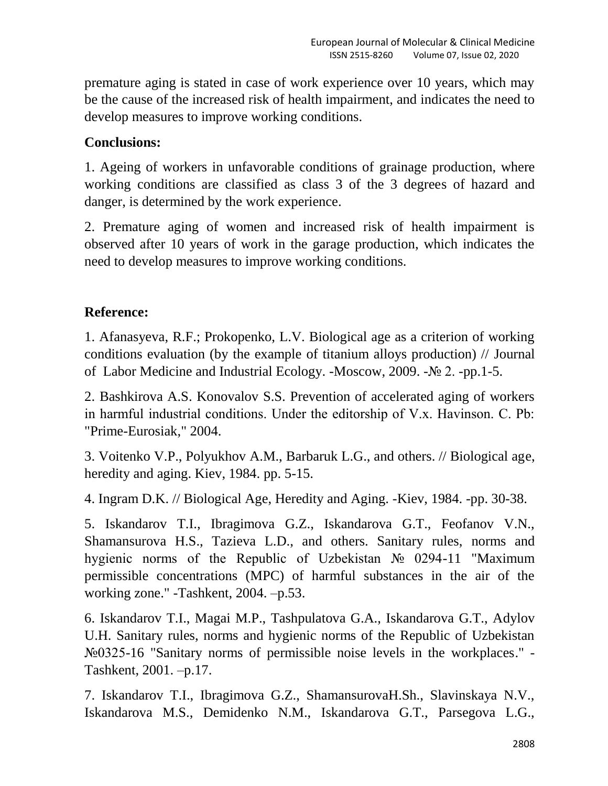premature aging is stated in case of work experience over 10 years, which may be the cause of the increased risk of health impairment, and indicates the need to develop measures to improve working conditions.

## **Conclusions:**

1. Ageing of workers in unfavorable conditions of grainage production, where working conditions are classified as class 3 of the 3 degrees of hazard and danger, is determined by the work experience.

2. Premature aging of women and increased risk of health impairment is observed after 10 years of work in the garage production, which indicates the need to develop measures to improve working conditions.

# **Reference:**

1. Afanasyeva, R.F.; Prokopenko, L.V. Biological age as a criterion of working conditions evaluation (by the example of titanium alloys production) // Journal of Labor Medicine and Industrial Ecology. -Moscow, 2009. -№ 2. -pp.1-5.

2. Bashkirova A.S. Konovalov S.S. Prevention of accelerated aging of workers in harmful industrial conditions. Under the editorship of V.x. Havinson. С. Pb: "Prime-Eurosiak," 2004.

3. Voitenko V.P., Polyukhov A.M., Barbaruk L.G., and others. // Biological age, heredity and aging. Kiev, 1984. pp. 5-15.

4. Ingram D.K. // Biological Age, Heredity and Aging. -Kiev, 1984. -pp. 30-38.

5. Iskandarov T.I., Ibragimova G.Z., Iskandarova G.T., Feofanov V.N., Shamansurova H.S., Tazieva L.D., and others. Sanitary rules, norms and hygienic norms of the Republic of Uzbekistan № 0294-11 "Maximum permissible concentrations (MPC) of harmful substances in the air of the working zone." -Tashkent, 2004. –p.53.

6. Iskandarov T.I., Magai M.P., Tashpulatova G.A., Iskandarova G.T., Adylov U.H. Sanitary rules, norms and hygienic norms of the Republic of Uzbekistan №0325-16 "Sanitary norms of permissible noise levels in the workplaces." - Tashkent, 2001. –p.17.

7. Iskandarov T.I., Ibragimova G.Z., ShamansurovaH.Sh., Slavinskaya N.V., Iskandarova M.S., Demidenko N.M., Iskandarova G.T., Parsegova L.G.,